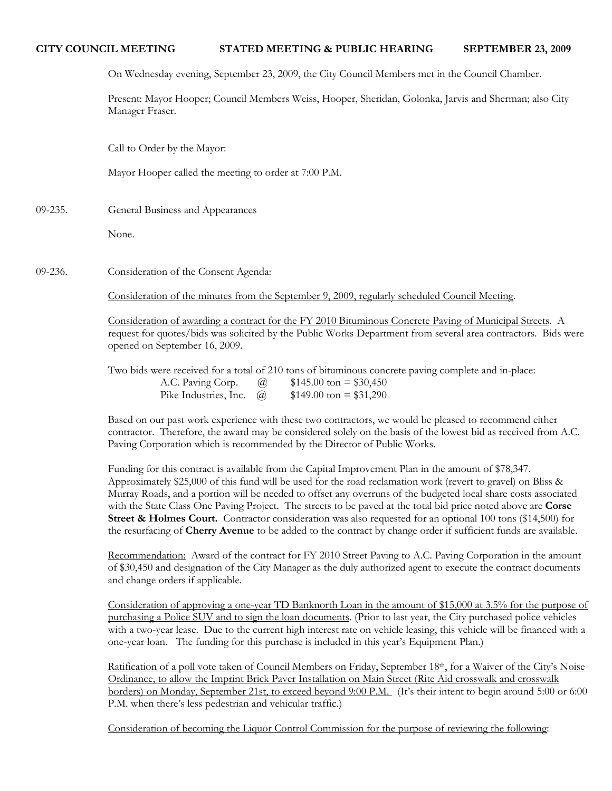# **CITY COUNCIL MEETING STATED MEETING & PUBLIC HEARING SEPTEMBER 23, 2009**

On Wednesday evening, September 23, 2009, the City Council Members met in the Council Chamber.

Present: Mayor Hooper; Council Members Weiss, Hooper, Sheridan, Golonka, Jarvis and Sherman; also City Manager Fraser.

Call to Order by the Mayor:

Mayor Hooper called the meeting to order at 7:00 P.M.

09-235. General Business and Appearances

None.

09-236. Consideration of the Consent Agenda:

Consideration of the minutes from the September 9, 2009, regularly scheduled Council Meeting.

Consideration of awarding a contract for the FY 2010 Bituminous Concrete Paving of Municipal Streets. A request for quotes/bids was solicited by the Public Works Department from several area contractors. Bids were opened on September 16, 2009.

Two bids were received for a total of 210 tons of bituminous concrete paving complete and in-place: A.C. Paving Corp. @ \$145.00 ton = \$30,450 Pike Industries, Inc.  $\omega = $149.00 \text{ ton} = $31,290$ 

Based on our past work experience with these two contractors, we would be pleased to recommend either contractor. Therefore, the award may be considered solely on the basis of the lowest bid as received from A.C. Paving Corporation which is recommended by the Director of Public Works.

Funding for this contract is available from the Capital Improvement Plan in the amount of \$78,347. Approximately \$25,000 of this fund will be used for the road reclamation work (revert to gravel) on Bliss & Murray Roads, and a portion will be needed to offset any overruns of the budgeted local share costs associated with the State Class One Paving Project. The streets to be paved at the total bid price noted above are **Corse Street & Holmes Court.** Contractor consideration was also requested for an optional 100 tons (\$14,500) for the resurfacing of **Cherry Avenue** to be added to the contract by change order if sufficient funds are available.

Recommendation: Award of the contract for FY 2010 Street Paving to A.C. Paving Corporation in the amount of \$30,450 and designation of the City Manager as the duly authorized agent to execute the contract documents and change orders if applicable.

Consideration of approving a one-year TD Banknorth Loan in the amount of \$15,000 at 3.5% for the purpose of purchasing a Police SUV and to sign the loan documents. (Prior to last year, the City purchased police vehicles with a two-year lease. Due to the current high interest rate on vehicle leasing, this vehicle will be financed with a one-year loan. The funding for this purchase is included in this year's Equipment Plan.)

Ratification of a poll vote taken of Council Members on Friday, September 18th, for a Waiver of the City's Noise Ordinance, to allow the Imprint Brick Paver Installation on Main Street (Rite Aid crosswalk and crosswalk borders) on Monday, September 21st, to exceed beyond 9:00 P.M. (It's their intent to begin around 5:00 or 6:00 P.M. when there's less pedestrian and vehicular traffic.)

Consideration of becoming the Liquor Control Commission for the purpose of reviewing the following: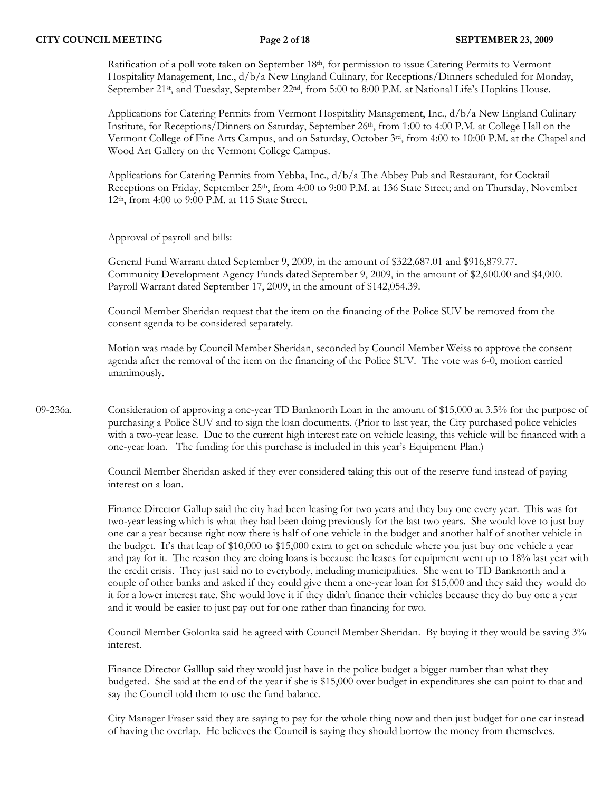Ratification of a poll vote taken on September 18<sup>th</sup>, for permission to issue Catering Permits to Vermont Hospitality Management, Inc., d/b/a New England Culinary, for Receptions/Dinners scheduled for Monday, September 21<sup>st</sup>, and Tuesday, September 22<sup>nd</sup>, from 5:00 to 8:00 P.M. at National Life's Hopkins House.

Applications for Catering Permits from Vermont Hospitality Management, Inc., d/b/a New England Culinary Institute, for Receptions/Dinners on Saturday, September 26<sup>th</sup>, from 1:00 to 4:00 P.M. at College Hall on the Vermont College of Fine Arts Campus, and on Saturday, October 3rd, from 4:00 to 10:00 P.M. at the Chapel and Wood Art Gallery on the Vermont College Campus.

Applications for Catering Permits from Yebba, Inc., d/b/a The Abbey Pub and Restaurant, for Cocktail Receptions on Friday, September 25<sup>th</sup>, from 4:00 to 9:00 P.M. at 136 State Street; and on Thursday, November 12th, from 4:00 to 9:00 P.M. at 115 State Street.

## Approval of payroll and bills:

General Fund Warrant dated September 9, 2009, in the amount of \$322,687.01 and \$916,879.77. Community Development Agency Funds dated September 9, 2009, in the amount of \$2,600.00 and \$4,000. Payroll Warrant dated September 17, 2009, in the amount of \$142,054.39.

Council Member Sheridan request that the item on the financing of the Police SUV be removed from the consent agenda to be considered separately.

Motion was made by Council Member Sheridan, seconded by Council Member Weiss to approve the consent agenda after the removal of the item on the financing of the Police SUV. The vote was 6-0, motion carried unanimously.

09-236a. Consideration of approving a one-year TD Banknorth Loan in the amount of \$15,000 at 3.5% for the purpose of purchasing a Police SUV and to sign the loan documents. (Prior to last year, the City purchased police vehicles with a two-year lease. Due to the current high interest rate on vehicle leasing, this vehicle will be financed with a one-year loan. The funding for this purchase is included in this year's Equipment Plan.)

> Council Member Sheridan asked if they ever considered taking this out of the reserve fund instead of paying interest on a loan.

Finance Director Gallup said the city had been leasing for two years and they buy one every year. This was for two-year leasing which is what they had been doing previously for the last two years. She would love to just buy one car a year because right now there is half of one vehicle in the budget and another half of another vehicle in the budget. It's that leap of \$10,000 to \$15,000 extra to get on schedule where you just buy one vehicle a year and pay for it. The reason they are doing loans is because the leases for equipment went up to 18% last year with the credit crisis. They just said no to everybody, including municipalities. She went to TD Banknorth and a couple of other banks and asked if they could give them a one-year loan for \$15,000 and they said they would do it for a lower interest rate. She would love it if they didn't finance their vehicles because they do buy one a year and it would be easier to just pay out for one rather than financing for two.

Council Member Golonka said he agreed with Council Member Sheridan. By buying it they would be saving 3% interest.

Finance Director Galllup said they would just have in the police budget a bigger number than what they budgeted. She said at the end of the year if she is \$15,000 over budget in expenditures she can point to that and say the Council told them to use the fund balance.

City Manager Fraser said they are saying to pay for the whole thing now and then just budget for one car instead of having the overlap. He believes the Council is saying they should borrow the money from themselves.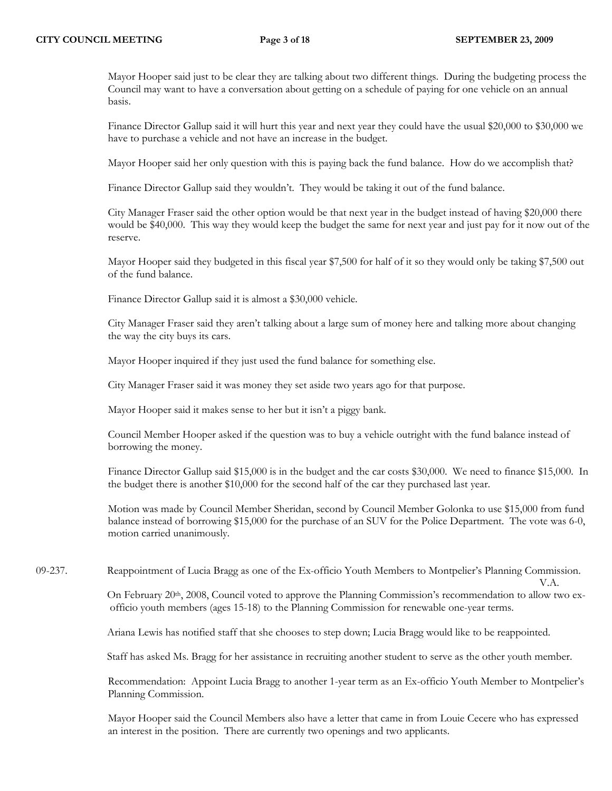Mayor Hooper said just to be clear they are talking about two different things. During the budgeting process the Council may want to have a conversation about getting on a schedule of paying for one vehicle on an annual basis.

Finance Director Gallup said it will hurt this year and next year they could have the usual \$20,000 to \$30,000 we have to purchase a vehicle and not have an increase in the budget.

Mayor Hooper said her only question with this is paying back the fund balance. How do we accomplish that?

Finance Director Gallup said they wouldn't. They would be taking it out of the fund balance.

City Manager Fraser said the other option would be that next year in the budget instead of having \$20,000 there would be \$40,000. This way they would keep the budget the same for next year and just pay for it now out of the reserve.

Mayor Hooper said they budgeted in this fiscal year \$7,500 for half of it so they would only be taking \$7,500 out of the fund balance.

Finance Director Gallup said it is almost a \$30,000 vehicle.

City Manager Fraser said they aren't talking about a large sum of money here and talking more about changing the way the city buys its cars.

Mayor Hooper inquired if they just used the fund balance for something else.

City Manager Fraser said it was money they set aside two years ago for that purpose.

Mayor Hooper said it makes sense to her but it isn't a piggy bank.

Council Member Hooper asked if the question was to buy a vehicle outright with the fund balance instead of borrowing the money.

Finance Director Gallup said \$15,000 is in the budget and the car costs \$30,000. We need to finance \$15,000. In the budget there is another \$10,000 for the second half of the car they purchased last year.

Motion was made by Council Member Sheridan, second by Council Member Golonka to use \$15,000 from fund balance instead of borrowing \$15,000 for the purchase of an SUV for the Police Department. The vote was 6-0, motion carried unanimously.

09-237. Reappointment of Lucia Bragg as one of the Ex-officio Youth Members to Montpelier's Planning Commission.

 V.A. On February 20<sup>th</sup>, 2008, Council voted to approve the Planning Commission's recommendation to allow two exofficio youth members (ages 15-18) to the Planning Commission for renewable one-year terms.

Ariana Lewis has notified staff that she chooses to step down; Lucia Bragg would like to be reappointed.

Staff has asked Ms. Bragg for her assistance in recruiting another student to serve as the other youth member.

Recommendation: Appoint Lucia Bragg to another 1-year term as an Ex-officio Youth Member to Montpelier's Planning Commission.

Mayor Hooper said the Council Members also have a letter that came in from Louie Cecere who has expressed an interest in the position. There are currently two openings and two applicants.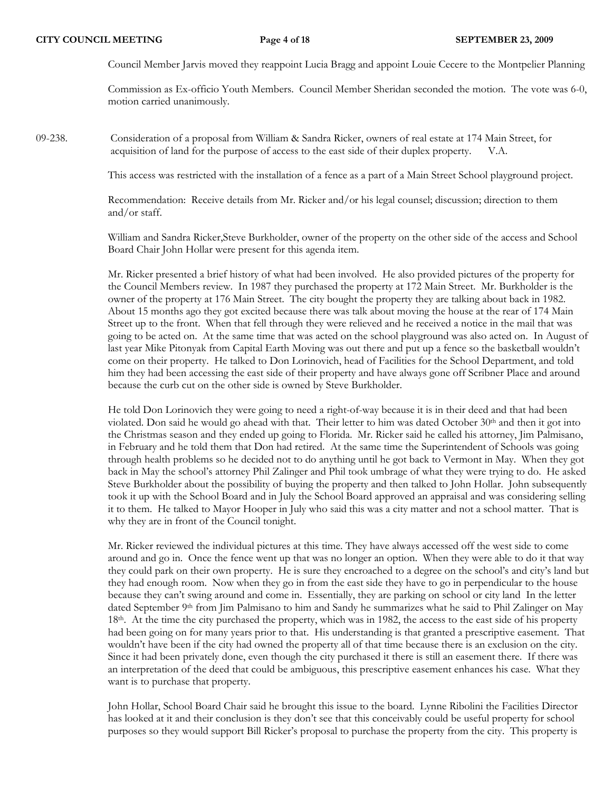Council Member Jarvis moved they reappoint Lucia Bragg and appoint Louie Cecere to the Montpelier Planning

Commission as Ex-officio Youth Members. Council Member Sheridan seconded the motion. The vote was 6-0, motion carried unanimously.

09-238. Consideration of a proposal from William & Sandra Ricker, owners of real estate at 174 Main Street, for acquisition of land for the purpose of access to the east side of their duplex property. V.A.

This access was restricted with the installation of a fence as a part of a Main Street School playground project.

Recommendation: Receive details from Mr. Ricker and/or his legal counsel; discussion; direction to them and/or staff.

William and Sandra Ricker,Steve Burkholder, owner of the property on the other side of the access and School Board Chair John Hollar were present for this agenda item.

Mr. Ricker presented a brief history of what had been involved. He also provided pictures of the property for the Council Members review. In 1987 they purchased the property at 172 Main Street. Mr. Burkholder is the owner of the property at 176 Main Street. The city bought the property they are talking about back in 1982. About 15 months ago they got excited because there was talk about moving the house at the rear of 174 Main Street up to the front. When that fell through they were relieved and he received a notice in the mail that was going to be acted on. At the same time that was acted on the school playground was also acted on. In August of last year Mike Pitonyak from Capital Earth Moving was out there and put up a fence so the basketball wouldn't come on their property. He talked to Don Lorinovich, head of Facilities for the School Department, and told him they had been accessing the east side of their property and have always gone off Scribner Place and around because the curb cut on the other side is owned by Steve Burkholder.

He told Don Lorinovich they were going to need a right-of-way because it is in their deed and that had been violated. Don said he would go ahead with that. Their letter to him was dated October 30th and then it got into the Christmas season and they ended up going to Florida. Mr. Ricker said he called his attorney, Jim Palmisano, in February and he told them that Don had retired. At the same time the Superintendent of Schools was going through health problems so he decided not to do anything until he got back to Vermont in May. When they got back in May the school's attorney Phil Zalinger and Phil took umbrage of what they were trying to do. He asked Steve Burkholder about the possibility of buying the property and then talked to John Hollar. John subsequently took it up with the School Board and in July the School Board approved an appraisal and was considering selling it to them. He talked to Mayor Hooper in July who said this was a city matter and not a school matter. That is why they are in front of the Council tonight.

Mr. Ricker reviewed the individual pictures at this time. They have always accessed off the west side to come around and go in. Once the fence went up that was no longer an option. When they were able to do it that way they could park on their own property. He is sure they encroached to a degree on the school's and city's land but they had enough room. Now when they go in from the east side they have to go in perpendicular to the house because they can't swing around and come in. Essentially, they are parking on school or city land In the letter dated September 9th from Jim Palmisano to him and Sandy he summarizes what he said to Phil Zalinger on May 18<sup>th</sup>. At the time the city purchased the property, which was in 1982, the access to the east side of his property had been going on for many years prior to that. His understanding is that granted a prescriptive easement. That wouldn't have been if the city had owned the property all of that time because there is an exclusion on the city. Since it had been privately done, even though the city purchased it there is still an easement there. If there was an interpretation of the deed that could be ambiguous, this prescriptive easement enhances his case. What they want is to purchase that property.

John Hollar, School Board Chair said he brought this issue to the board. Lynne Ribolini the Facilities Director has looked at it and their conclusion is they don't see that this conceivably could be useful property for school purposes so they would support Bill Ricker's proposal to purchase the property from the city. This property is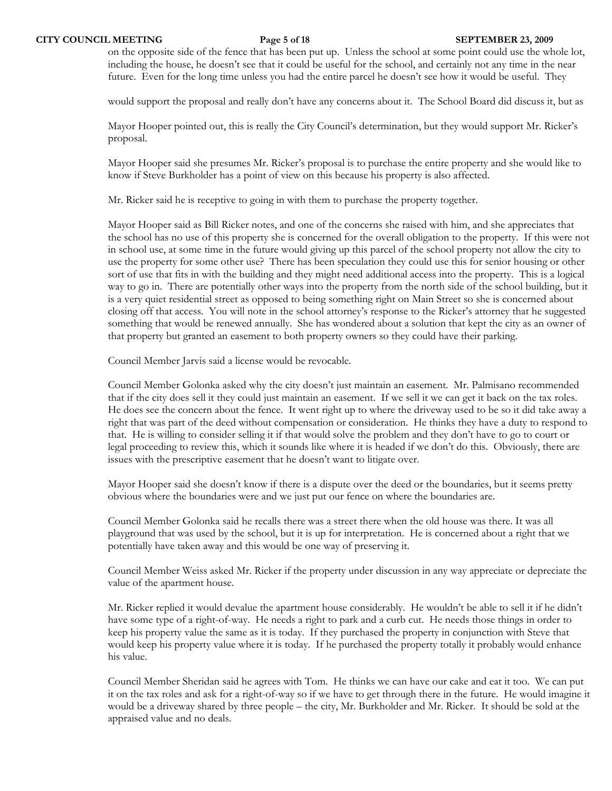on the opposite side of the fence that has been put up. Unless the school at some point could use the whole lot, including the house, he doesn't see that it could be useful for the school, and certainly not any time in the near future. Even for the long time unless you had the entire parcel he doesn't see how it would be useful. They

would support the proposal and really don't have any concerns about it. The School Board did discuss it, but as

Mayor Hooper pointed out, this is really the City Council's determination, but they would support Mr. Ricker's proposal.

Mayor Hooper said she presumes Mr. Ricker's proposal is to purchase the entire property and she would like to know if Steve Burkholder has a point of view on this because his property is also affected.

Mr. Ricker said he is receptive to going in with them to purchase the property together.

Mayor Hooper said as Bill Ricker notes, and one of the concerns she raised with him, and she appreciates that the school has no use of this property she is concerned for the overall obligation to the property. If this were not in school use, at some time in the future would giving up this parcel of the school property not allow the city to use the property for some other use? There has been speculation they could use this for senior housing or other sort of use that fits in with the building and they might need additional access into the property. This is a logical way to go in. There are potentially other ways into the property from the north side of the school building, but it is a very quiet residential street as opposed to being something right on Main Street so she is concerned about closing off that access. You will note in the school attorney's response to the Ricker's attorney that he suggested something that would be renewed annually. She has wondered about a solution that kept the city as an owner of that property but granted an easement to both property owners so they could have their parking.

Council Member Jarvis said a license would be revocable.

Council Member Golonka asked why the city doesn't just maintain an easement. Mr. Palmisano recommended that if the city does sell it they could just maintain an easement. If we sell it we can get it back on the tax roles. He does see the concern about the fence. It went right up to where the driveway used to be so it did take away a right that was part of the deed without compensation or consideration. He thinks they have a duty to respond to that. He is willing to consider selling it if that would solve the problem and they don't have to go to court or legal proceeding to review this, which it sounds like where it is headed if we don't do this. Obviously, there are issues with the prescriptive easement that he doesn't want to litigate over.

Mayor Hooper said she doesn't know if there is a dispute over the deed or the boundaries, but it seems pretty obvious where the boundaries were and we just put our fence on where the boundaries are.

Council Member Golonka said he recalls there was a street there when the old house was there. It was all playground that was used by the school, but it is up for interpretation. He is concerned about a right that we potentially have taken away and this would be one way of preserving it.

Council Member Weiss asked Mr. Ricker if the property under discussion in any way appreciate or depreciate the value of the apartment house.

Mr. Ricker replied it would devalue the apartment house considerably. He wouldn't be able to sell it if he didn't have some type of a right-of-way. He needs a right to park and a curb cut. He needs those things in order to keep his property value the same as it is today. If they purchased the property in conjunction with Steve that would keep his property value where it is today. If he purchased the property totally it probably would enhance his value.

Council Member Sheridan said he agrees with Tom. He thinks we can have our cake and eat it too. We can put it on the tax roles and ask for a right-of-way so if we have to get through there in the future. He would imagine it would be a driveway shared by three people – the city, Mr. Burkholder and Mr. Ricker. It should be sold at the appraised value and no deals.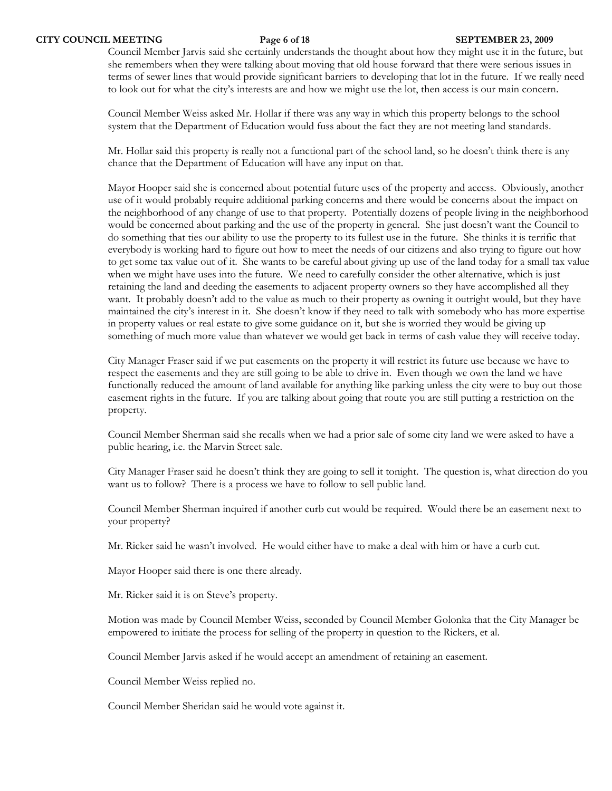Council Member Jarvis said she certainly understands the thought about how they might use it in the future, but she remembers when they were talking about moving that old house forward that there were serious issues in terms of sewer lines that would provide significant barriers to developing that lot in the future. If we really need to look out for what the city's interests are and how we might use the lot, then access is our main concern.

Council Member Weiss asked Mr. Hollar if there was any way in which this property belongs to the school system that the Department of Education would fuss about the fact they are not meeting land standards.

Mr. Hollar said this property is really not a functional part of the school land, so he doesn't think there is any chance that the Department of Education will have any input on that.

Mayor Hooper said she is concerned about potential future uses of the property and access. Obviously, another use of it would probably require additional parking concerns and there would be concerns about the impact on the neighborhood of any change of use to that property. Potentially dozens of people living in the neighborhood would be concerned about parking and the use of the property in general. She just doesn't want the Council to do something that ties our ability to use the property to its fullest use in the future. She thinks it is terrific that everybody is working hard to figure out how to meet the needs of our citizens and also trying to figure out how to get some tax value out of it. She wants to be careful about giving up use of the land today for a small tax value when we might have uses into the future. We need to carefully consider the other alternative, which is just retaining the land and deeding the easements to adjacent property owners so they have accomplished all they want. It probably doesn't add to the value as much to their property as owning it outright would, but they have maintained the city's interest in it. She doesn't know if they need to talk with somebody who has more expertise in property values or real estate to give some guidance on it, but she is worried they would be giving up something of much more value than whatever we would get back in terms of cash value they will receive today.

City Manager Fraser said if we put easements on the property it will restrict its future use because we have to respect the easements and they are still going to be able to drive in. Even though we own the land we have functionally reduced the amount of land available for anything like parking unless the city were to buy out those easement rights in the future. If you are talking about going that route you are still putting a restriction on the property.

Council Member Sherman said she recalls when we had a prior sale of some city land we were asked to have a public hearing, i.e. the Marvin Street sale.

City Manager Fraser said he doesn't think they are going to sell it tonight. The question is, what direction do you want us to follow? There is a process we have to follow to sell public land.

Council Member Sherman inquired if another curb cut would be required. Would there be an easement next to your property?

Mr. Ricker said he wasn't involved. He would either have to make a deal with him or have a curb cut.

Mayor Hooper said there is one there already.

Mr. Ricker said it is on Steve's property.

Motion was made by Council Member Weiss, seconded by Council Member Golonka that the City Manager be empowered to initiate the process for selling of the property in question to the Rickers, et al.

Council Member Jarvis asked if he would accept an amendment of retaining an easement.

Council Member Weiss replied no.

Council Member Sheridan said he would vote against it.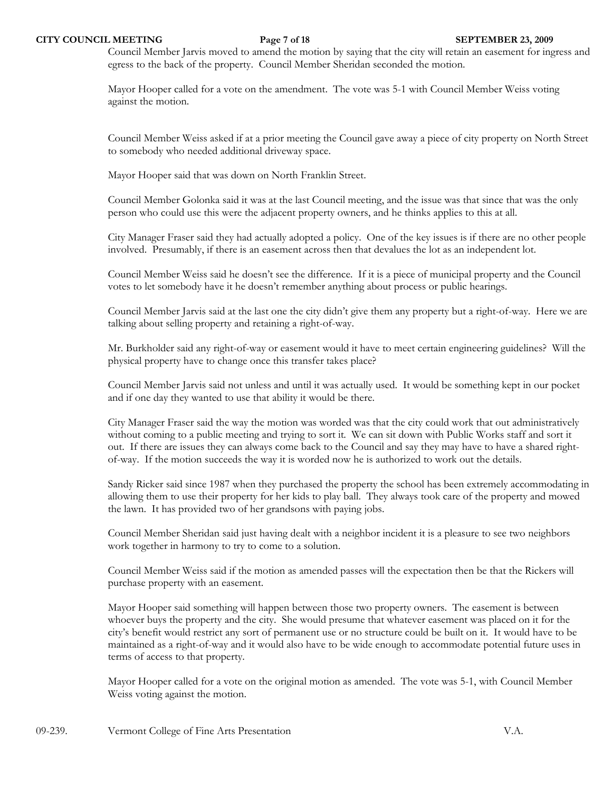### **CITY COUNCIL MEETING Page 7 of 18 SEPTEMBER 23, 2009**

Council Member Jarvis moved to amend the motion by saying that the city will retain an easement for ingress and egress to the back of the property. Council Member Sheridan seconded the motion.

Mayor Hooper called for a vote on the amendment. The vote was 5-1 with Council Member Weiss voting against the motion.

Council Member Weiss asked if at a prior meeting the Council gave away a piece of city property on North Street to somebody who needed additional driveway space.

Mayor Hooper said that was down on North Franklin Street.

Council Member Golonka said it was at the last Council meeting, and the issue was that since that was the only person who could use this were the adjacent property owners, and he thinks applies to this at all.

City Manager Fraser said they had actually adopted a policy. One of the key issues is if there are no other people involved. Presumably, if there is an easement across then that devalues the lot as an independent lot.

Council Member Weiss said he doesn't see the difference. If it is a piece of municipal property and the Council votes to let somebody have it he doesn't remember anything about process or public hearings.

Council Member Jarvis said at the last one the city didn't give them any property but a right-of-way. Here we are talking about selling property and retaining a right-of-way.

Mr. Burkholder said any right-of-way or easement would it have to meet certain engineering guidelines? Will the physical property have to change once this transfer takes place?

Council Member Jarvis said not unless and until it was actually used. It would be something kept in our pocket and if one day they wanted to use that ability it would be there.

City Manager Fraser said the way the motion was worded was that the city could work that out administratively without coming to a public meeting and trying to sort it. We can sit down with Public Works staff and sort it out. If there are issues they can always come back to the Council and say they may have to have a shared rightof-way. If the motion succeeds the way it is worded now he is authorized to work out the details.

Sandy Ricker said since 1987 when they purchased the property the school has been extremely accommodating in allowing them to use their property for her kids to play ball. They always took care of the property and mowed the lawn. It has provided two of her grandsons with paying jobs.

Council Member Sheridan said just having dealt with a neighbor incident it is a pleasure to see two neighbors work together in harmony to try to come to a solution.

Council Member Weiss said if the motion as amended passes will the expectation then be that the Rickers will purchase property with an easement.

Mayor Hooper said something will happen between those two property owners. The easement is between whoever buys the property and the city. She would presume that whatever easement was placed on it for the city's benefit would restrict any sort of permanent use or no structure could be built on it. It would have to be maintained as a right-of-way and it would also have to be wide enough to accommodate potential future uses in terms of access to that property.

Mayor Hooper called for a vote on the original motion as amended. The vote was 5-1, with Council Member Weiss voting against the motion.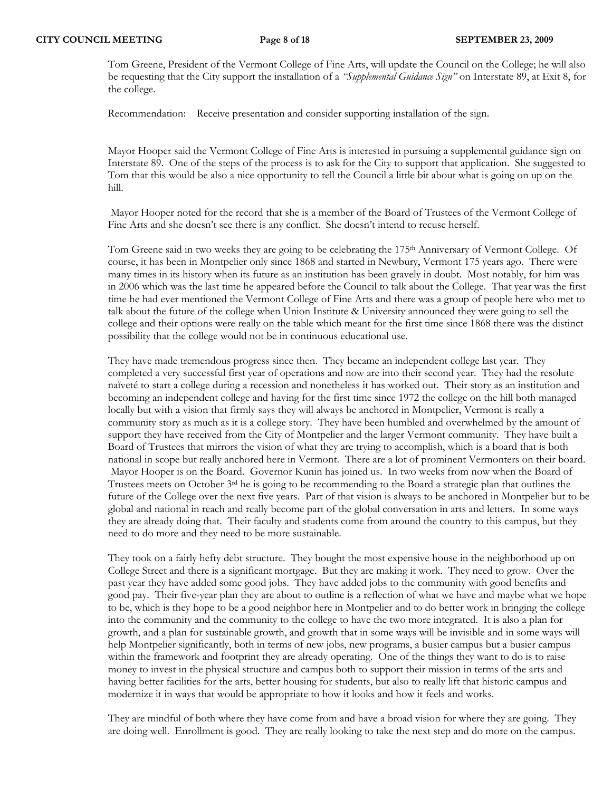Tom Greene, President of the Vermont College of Fine Arts, will update the Council on the College; he will also be requesting that the City support the installation of a *"Supplemental Guidance Sign"* on Interstate 89, at Exit 8, for the college.

Recommendation: Receive presentation and consider supporting installation of the sign.

Mayor Hooper said the Vermont College of Fine Arts is interested in pursuing a supplemental guidance sign on Interstate 89. One of the steps of the process is to ask for the City to support that application. She suggested to Tom that this would be also a nice opportunity to tell the Council a little bit about what is going on up on the hill.

 Mayor Hooper noted for the record that she is a member of the Board of Trustees of the Vermont College of Fine Arts and she doesn't see there is any conflict. She doesn't intend to recuse herself.

Tom Greene said in two weeks they are going to be celebrating the 175th Anniversary of Vermont College. Of course, it has been in Montpelier only since 1868 and started in Newbury, Vermont 175 years ago. There were many times in its history when its future as an institution has been gravely in doubt. Most notably, for him was in 2006 which was the last time he appeared before the Council to talk about the College. That year was the first time he had ever mentioned the Vermont College of Fine Arts and there was a group of people here who met to talk about the future of the college when Union Institute & University announced they were going to sell the college and their options were really on the table which meant for the first time since 1868 there was the distinct possibility that the college would not be in continuous educational use.

They have made tremendous progress since then. They became an independent college last year. They completed a very successful first year of operations and now are into their second year. They had the resolute naïveté to start a college during a recession and nonetheless it has worked out. Their story as an institution and becoming an independent college and having for the first time since 1972 the college on the hill both managed locally but with a vision that firmly says they will always be anchored in Montpelier, Vermont is really a community story as much as it is a college story. They have been humbled and overwhelmed by the amount of support they have received from the City of Montpelier and the larger Vermont community. They have built a Board of Trustees that mirrors the vision of what they are trying to accomplish, which is a board that is both national in scope but really anchored here in Vermont. There are a lot of prominent Vermonters on their board. Mayor Hooper is on the Board. Governor Kunin has joined us. In two weeks from now when the Board of Trustees meets on October 3rd he is going to be recommending to the Board a strategic plan that outlines the future of the College over the next five years. Part of that vision is always to be anchored in Montpelier but to be global and national in reach and really become part of the global conversation in arts and letters. In some ways they are already doing that. Their faculty and students come from around the country to this campus, but they need to do more and they need to be more sustainable.

They took on a fairly hefty debt structure. They bought the most expensive house in the neighborhood up on College Street and there is a significant mortgage. But they are making it work. They need to grow. Over the past year they have added some good jobs. They have added jobs to the community with good benefits and good pay. Their five-year plan they are about to outline is a reflection of what we have and maybe what we hope to be, which is they hope to be a good neighbor here in Montpelier and to do better work in bringing the college into the community and the community to the college to have the two more integrated. It is also a plan for growth, and a plan for sustainable growth, and growth that in some ways will be invisible and in some ways will help Montpelier significantly, both in terms of new jobs, new programs, a busier campus but a busier campus within the framework and footprint they are already operating. One of the things they want to do is to raise money to invest in the physical structure and campus both to support their mission in terms of the arts and having better facilities for the arts, better housing for students, but also to really lift that historic campus and modernize it in ways that would be appropriate to how it looks and how it feels and works.

They are mindful of both where they have come from and have a broad vision for where they are going. They are doing well. Enrollment is good. They are really looking to take the next step and do more on the campus.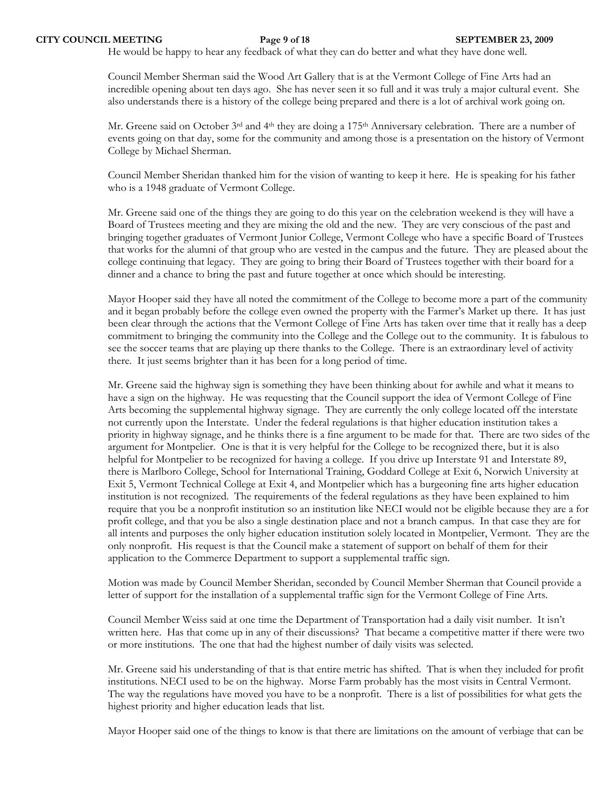He would be happy to hear any feedback of what they can do better and what they have done well.

Council Member Sherman said the Wood Art Gallery that is at the Vermont College of Fine Arts had an incredible opening about ten days ago. She has never seen it so full and it was truly a major cultural event. She also understands there is a history of the college being prepared and there is a lot of archival work going on.

Mr. Greene said on October 3rd and 4th they are doing a 175th Anniversary celebration. There are a number of events going on that day, some for the community and among those is a presentation on the history of Vermont College by Michael Sherman.

Council Member Sheridan thanked him for the vision of wanting to keep it here. He is speaking for his father who is a 1948 graduate of Vermont College.

Mr. Greene said one of the things they are going to do this year on the celebration weekend is they will have a Board of Trustees meeting and they are mixing the old and the new. They are very conscious of the past and bringing together graduates of Vermont Junior College, Vermont College who have a specific Board of Trustees that works for the alumni of that group who are vested in the campus and the future. They are pleased about the college continuing that legacy. They are going to bring their Board of Trustees together with their board for a dinner and a chance to bring the past and future together at once which should be interesting.

Mayor Hooper said they have all noted the commitment of the College to become more a part of the community and it began probably before the college even owned the property with the Farmer's Market up there. It has just been clear through the actions that the Vermont College of Fine Arts has taken over time that it really has a deep commitment to bringing the community into the College and the College out to the community. It is fabulous to see the soccer teams that are playing up there thanks to the College. There is an extraordinary level of activity there. It just seems brighter than it has been for a long period of time.

Mr. Greene said the highway sign is something they have been thinking about for awhile and what it means to have a sign on the highway. He was requesting that the Council support the idea of Vermont College of Fine Arts becoming the supplemental highway signage. They are currently the only college located off the interstate not currently upon the Interstate. Under the federal regulations is that higher education institution takes a priority in highway signage, and he thinks there is a fine argument to be made for that. There are two sides of the argument for Montpelier. One is that it is very helpful for the College to be recognized there, but it is also helpful for Montpelier to be recognized for having a college. If you drive up Interstate 91 and Interstate 89, there is Marlboro College, School for International Training, Goddard College at Exit 6, Norwich University at Exit 5, Vermont Technical College at Exit 4, and Montpelier which has a burgeoning fine arts higher education institution is not recognized. The requirements of the federal regulations as they have been explained to him require that you be a nonprofit institution so an institution like NECI would not be eligible because they are a for profit college, and that you be also a single destination place and not a branch campus. In that case they are for all intents and purposes the only higher education institution solely located in Montpelier, Vermont. They are the only nonprofit. His request is that the Council make a statement of support on behalf of them for their application to the Commerce Department to support a supplemental traffic sign.

Motion was made by Council Member Sheridan, seconded by Council Member Sherman that Council provide a letter of support for the installation of a supplemental traffic sign for the Vermont College of Fine Arts.

Council Member Weiss said at one time the Department of Transportation had a daily visit number. It isn't written here. Has that come up in any of their discussions? That became a competitive matter if there were two or more institutions. The one that had the highest number of daily visits was selected.

Mr. Greene said his understanding of that is that entire metric has shifted. That is when they included for profit institutions. NECI used to be on the highway. Morse Farm probably has the most visits in Central Vermont. The way the regulations have moved you have to be a nonprofit. There is a list of possibilities for what gets the highest priority and higher education leads that list.

Mayor Hooper said one of the things to know is that there are limitations on the amount of verbiage that can be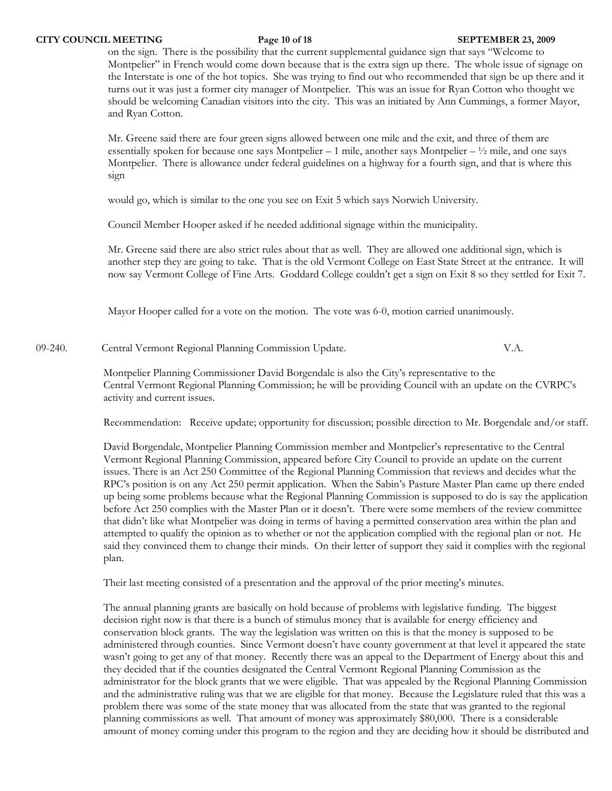### **CITY COUNCIL MEETING Page 10 of 18 SEPTEMBER 23, 2009**

on the sign. There is the possibility that the current supplemental guidance sign that says "Welcome to Montpelier" in French would come down because that is the extra sign up there. The whole issue of signage on the Interstate is one of the hot topics. She was trying to find out who recommended that sign be up there and it turns out it was just a former city manager of Montpelier. This was an issue for Ryan Cotton who thought we should be welcoming Canadian visitors into the city. This was an initiated by Ann Cummings, a former Mayor, and Ryan Cotton.

Mr. Greene said there are four green signs allowed between one mile and the exit, and three of them are essentially spoken for because one says Montpelier – 1 mile, another says Montpelier –  $\frac{1}{2}$  mile, and one says Montpelier. There is allowance under federal guidelines on a highway for a fourth sign, and that is where this sign

would go, which is similar to the one you see on Exit 5 which says Norwich University.

Council Member Hooper asked if he needed additional signage within the municipality.

Mr. Greene said there are also strict rules about that as well. They are allowed one additional sign, which is another step they are going to take. That is the old Vermont College on East State Street at the entrance. It will now say Vermont College of Fine Arts. Goddard College couldn't get a sign on Exit 8 so they settled for Exit 7.

Mayor Hooper called for a vote on the motion. The vote was 6-0, motion carried unanimously.

09-240. Central Vermont Regional Planning Commission Update. V.A.

Montpelier Planning Commissioner David Borgendale is also the City's representative to the Central Vermont Regional Planning Commission; he will be providing Council with an update on the CVRPC's activity and current issues.

Recommendation: Receive update; opportunity for discussion; possible direction to Mr. Borgendale and/or staff.

David Borgendale, Montpelier Planning Commission member and Montpelier's representative to the Central Vermont Regional Planning Commission, appeared before City Council to provide an update on the current issues. There is an Act 250 Committee of the Regional Planning Commission that reviews and decides what the RPC's position is on any Act 250 permit application. When the Sabin's Pasture Master Plan came up there ended up being some problems because what the Regional Planning Commission is supposed to do is say the application before Act 250 complies with the Master Plan or it doesn't. There were some members of the review committee that didn't like what Montpelier was doing in terms of having a permitted conservation area within the plan and attempted to qualify the opinion as to whether or not the application complied with the regional plan or not. He said they convinced them to change their minds. On their letter of support they said it complies with the regional plan.

Their last meeting consisted of a presentation and the approval of the prior meeting's minutes.

The annual planning grants are basically on hold because of problems with legislative funding. The biggest decision right now is that there is a bunch of stimulus money that is available for energy efficiency and conservation block grants. The way the legislation was written on this is that the money is supposed to be administered through counties. Since Vermont doesn't have county government at that level it appeared the state wasn't going to get any of that money. Recently there was an appeal to the Department of Energy about this and they decided that if the counties designated the Central Vermont Regional Planning Commission as the administrator for the block grants that we were eligible. That was appealed by the Regional Planning Commission and the administrative ruling was that we are eligible for that money. Because the Legislature ruled that this was a problem there was some of the state money that was allocated from the state that was granted to the regional planning commissions as well. That amount of money was approximately \$80,000. There is a considerable amount of money coming under this program to the region and they are deciding how it should be distributed and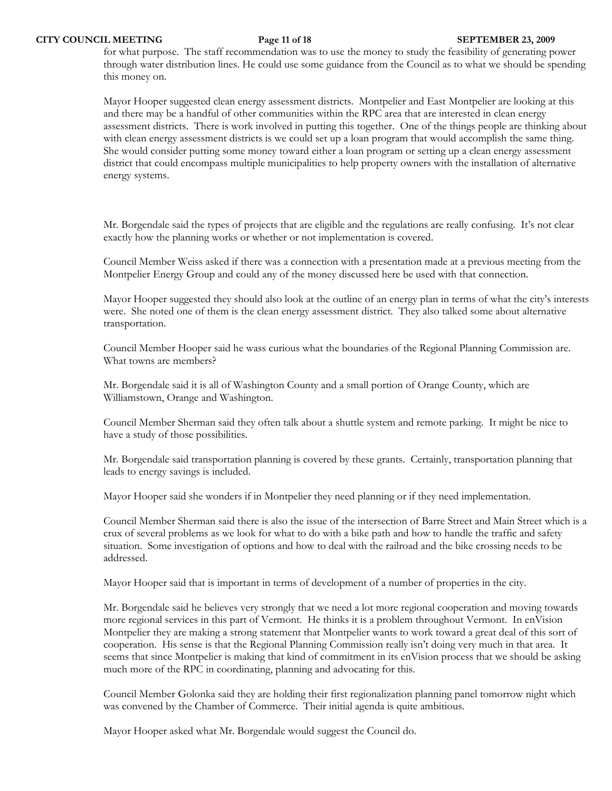for what purpose. The staff recommendation was to use the money to study the feasibility of generating power through water distribution lines. He could use some guidance from the Council as to what we should be spending this money on.

Mayor Hooper suggested clean energy assessment districts. Montpelier and East Montpelier are looking at this and there may be a handful of other communities within the RPC area that are interested in clean energy assessment districts. There is work involved in putting this together. One of the things people are thinking about with clean energy assessment districts is we could set up a loan program that would accomplish the same thing. She would consider putting some money toward either a loan program or setting up a clean energy assessment district that could encompass multiple municipalities to help property owners with the installation of alternative energy systems.

Mr. Borgendale said the types of projects that are eligible and the regulations are really confusing. It's not clear exactly how the planning works or whether or not implementation is covered.

Council Member Weiss asked if there was a connection with a presentation made at a previous meeting from the Montpelier Energy Group and could any of the money discussed here be used with that connection.

Mayor Hooper suggested they should also look at the outline of an energy plan in terms of what the city's interests were. She noted one of them is the clean energy assessment district. They also talked some about alternative transportation.

Council Member Hooper said he wass curious what the boundaries of the Regional Planning Commission are. What towns are members?

Mr. Borgendale said it is all of Washington County and a small portion of Orange County, which are Williamstown, Orange and Washington.

Council Member Sherman said they often talk about a shuttle system and remote parking. It might be nice to have a study of those possibilities.

Mr. Borgendale said transportation planning is covered by these grants. Certainly, transportation planning that leads to energy savings is included.

Mayor Hooper said she wonders if in Montpelier they need planning or if they need implementation.

Council Member Sherman said there is also the issue of the intersection of Barre Street and Main Street which is a crux of several problems as we look for what to do with a bike path and how to handle the traffic and safety situation. Some investigation of options and how to deal with the railroad and the bike crossing needs to be addressed.

Mayor Hooper said that is important in terms of development of a number of properties in the city.

Mr. Borgendale said he believes very strongly that we need a lot more regional cooperation and moving towards more regional services in this part of Vermont. He thinks it is a problem throughout Vermont. In enVision Montpelier they are making a strong statement that Montpelier wants to work toward a great deal of this sort of cooperation. His sense is that the Regional Planning Commission really isn't doing very much in that area. It seems that since Montpelier is making that kind of commitment in its enVision process that we should be asking much more of the RPC in coordinating, planning and advocating for this.

Council Member Golonka said they are holding their first regionalization planning panel tomorrow night which was convened by the Chamber of Commerce. Their initial agenda is quite ambitious.

Mayor Hooper asked what Mr. Borgendale would suggest the Council do.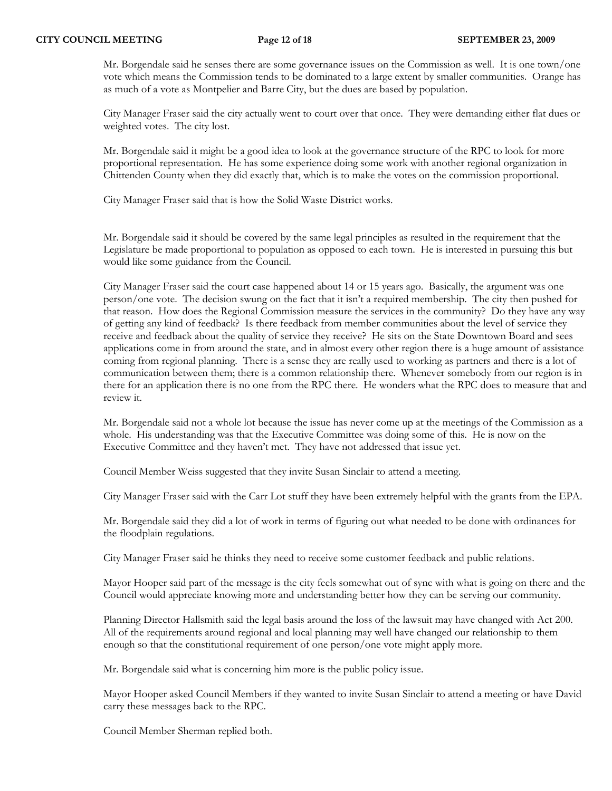Mr. Borgendale said he senses there are some governance issues on the Commission as well. It is one town/one vote which means the Commission tends to be dominated to a large extent by smaller communities. Orange has as much of a vote as Montpelier and Barre City, but the dues are based by population.

City Manager Fraser said the city actually went to court over that once. They were demanding either flat dues or weighted votes. The city lost.

Mr. Borgendale said it might be a good idea to look at the governance structure of the RPC to look for more proportional representation. He has some experience doing some work with another regional organization in Chittenden County when they did exactly that, which is to make the votes on the commission proportional.

City Manager Fraser said that is how the Solid Waste District works.

Mr. Borgendale said it should be covered by the same legal principles as resulted in the requirement that the Legislature be made proportional to population as opposed to each town. He is interested in pursuing this but would like some guidance from the Council.

City Manager Fraser said the court case happened about 14 or 15 years ago. Basically, the argument was one person/one vote. The decision swung on the fact that it isn't a required membership. The city then pushed for that reason. How does the Regional Commission measure the services in the community? Do they have any way of getting any kind of feedback? Is there feedback from member communities about the level of service they receive and feedback about the quality of service they receive? He sits on the State Downtown Board and sees applications come in from around the state, and in almost every other region there is a huge amount of assistance coming from regional planning. There is a sense they are really used to working as partners and there is a lot of communication between them; there is a common relationship there. Whenever somebody from our region is in there for an application there is no one from the RPC there. He wonders what the RPC does to measure that and review it.

Mr. Borgendale said not a whole lot because the issue has never come up at the meetings of the Commission as a whole. His understanding was that the Executive Committee was doing some of this. He is now on the Executive Committee and they haven't met. They have not addressed that issue yet.

Council Member Weiss suggested that they invite Susan Sinclair to attend a meeting.

City Manager Fraser said with the Carr Lot stuff they have been extremely helpful with the grants from the EPA.

Mr. Borgendale said they did a lot of work in terms of figuring out what needed to be done with ordinances for the floodplain regulations.

City Manager Fraser said he thinks they need to receive some customer feedback and public relations.

Mayor Hooper said part of the message is the city feels somewhat out of sync with what is going on there and the Council would appreciate knowing more and understanding better how they can be serving our community.

Planning Director Hallsmith said the legal basis around the loss of the lawsuit may have changed with Act 200. All of the requirements around regional and local planning may well have changed our relationship to them enough so that the constitutional requirement of one person/one vote might apply more.

Mr. Borgendale said what is concerning him more is the public policy issue.

Mayor Hooper asked Council Members if they wanted to invite Susan Sinclair to attend a meeting or have David carry these messages back to the RPC.

Council Member Sherman replied both.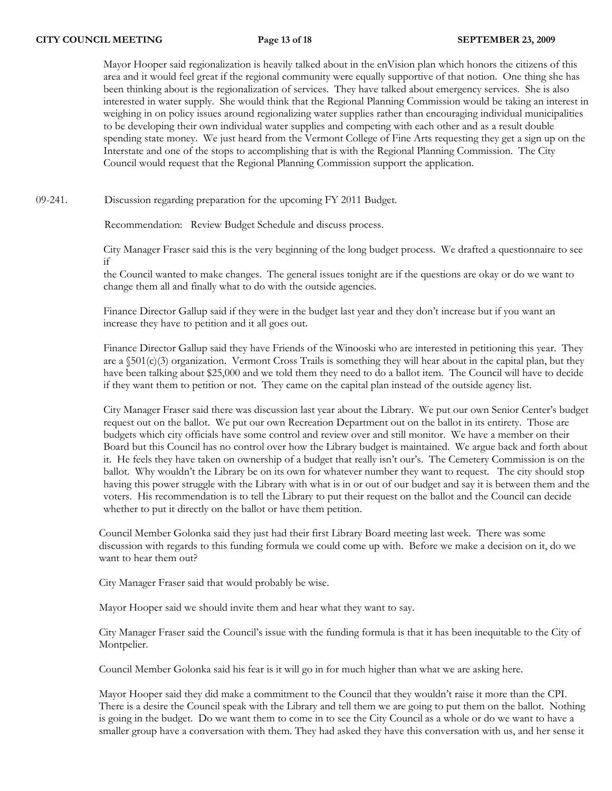Mayor Hooper said regionalization is heavily talked about in the enVision plan which honors the citizens of this area and it would feel great if the regional community were equally supportive of that notion. One thing she has been thinking about is the regionalization of services. They have talked about emergency services. She is also interested in water supply. She would think that the Regional Planning Commission would be taking an interest in weighing in on policy issues around regionalizing water supplies rather than encouraging individual municipalities to be developing their own individual water supplies and competing with each other and as a result double spending state money. We just heard from the Vermont College of Fine Arts requesting they get a sign up on the Interstate and one of the stops to accomplishing that is with the Regional Planning Commission. The City Council would request that the Regional Planning Commission support the application.

09-241. Discussion regarding preparation for the upcoming FY 2011 Budget.

Recommendation: Review Budget Schedule and discuss process.

City Manager Fraser said this is the very beginning of the long budget process. We drafted a questionnaire to see if

the Council wanted to make changes. The general issues tonight are if the questions are okay or do we want to change them all and finally what to do with the outside agencies.

Finance Director Gallup said if they were in the budget last year and they don't increase but if you want an increase they have to petition and it all goes out.

Finance Director Gallup said they have Friends of the Winooski who are interested in petitioning this year. They are a  $$501(c)(3)$  organization. Vermont Cross Trails is something they will hear about in the capital plan, but they have been talking about \$25,000 and we told them they need to do a ballot item. The Council will have to decide if they want them to petition or not. They came on the capital plan instead of the outside agency list.

City Manager Fraser said there was discussion last year about the Library. We put our own Senior Center's budget request out on the ballot. We put our own Recreation Department out on the ballot in its entirety. Those are budgets which city officials have some control and review over and still monitor. We have a member on their Board but this Council has no control over how the Library budget is maintained. We argue back and forth about it. He feels they have taken on ownership of a budget that really isn't our's. The Cemetery Commission is on the ballot. Why wouldn't the Library be on its own for whatever number they want to request. The city should stop having this power struggle with the Library with what is in or out of our budget and say it is between them and the voters. His recommendation is to tell the Library to put their request on the ballot and the Council can decide whether to put it directly on the ballot or have them petition.

Council Member Golonka said they just had their first Library Board meeting last week. There was some discussion with regards to this funding formula we could come up with. Before we make a decision on it, do we want to hear them out?

City Manager Fraser said that would probably be wise.

Mayor Hooper said we should invite them and hear what they want to say.

City Manager Fraser said the Council's issue with the funding formula is that it has been inequitable to the City of Montpelier.

Council Member Golonka said his fear is it will go in for much higher than what we are asking here.

Mayor Hooper said they did make a commitment to the Council that they wouldn't raise it more than the CPI. There is a desire the Council speak with the Library and tell them we are going to put them on the ballot. Nothing is going in the budget. Do we want them to come in to see the City Council as a whole or do we want to have a smaller group have a conversation with them. They had asked they have this conversation with us, and her sense it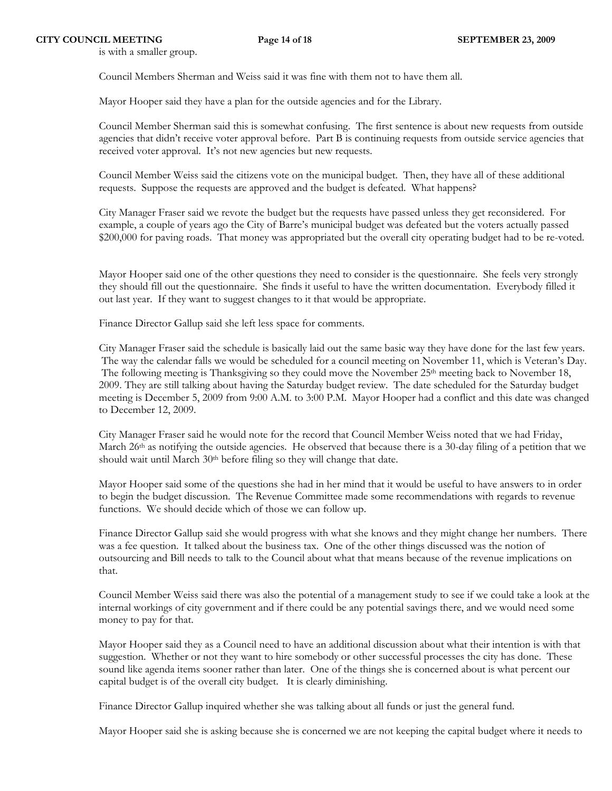is with a smaller group.

Council Members Sherman and Weiss said it was fine with them not to have them all.

Mayor Hooper said they have a plan for the outside agencies and for the Library.

Council Member Sherman said this is somewhat confusing. The first sentence is about new requests from outside agencies that didn't receive voter approval before. Part B is continuing requests from outside service agencies that received voter approval. It's not new agencies but new requests.

Council Member Weiss said the citizens vote on the municipal budget. Then, they have all of these additional requests. Suppose the requests are approved and the budget is defeated. What happens?

City Manager Fraser said we revote the budget but the requests have passed unless they get reconsidered. For example, a couple of years ago the City of Barre's municipal budget was defeated but the voters actually passed \$200,000 for paving roads. That money was appropriated but the overall city operating budget had to be re-voted.

Mayor Hooper said one of the other questions they need to consider is the questionnaire. She feels very strongly they should fill out the questionnaire. She finds it useful to have the written documentation. Everybody filled it out last year. If they want to suggest changes to it that would be appropriate.

Finance Director Gallup said she left less space for comments.

City Manager Fraser said the schedule is basically laid out the same basic way they have done for the last few years. The way the calendar falls we would be scheduled for a council meeting on November 11, which is Veteran's Day. The following meeting is Thanksgiving so they could move the November 25<sup>th</sup> meeting back to November 18, 2009. They are still talking about having the Saturday budget review. The date scheduled for the Saturday budget meeting is December 5, 2009 from 9:00 A.M. to 3:00 P.M. Mayor Hooper had a conflict and this date was changed to December 12, 2009.

City Manager Fraser said he would note for the record that Council Member Weiss noted that we had Friday, March 26<sup>th</sup> as notifying the outside agencies. He observed that because there is a 30-day filing of a petition that we should wait until March 30<sup>th</sup> before filing so they will change that date.

Mayor Hooper said some of the questions she had in her mind that it would be useful to have answers to in order to begin the budget discussion. The Revenue Committee made some recommendations with regards to revenue functions. We should decide which of those we can follow up.

Finance Director Gallup said she would progress with what she knows and they might change her numbers. There was a fee question. It talked about the business tax. One of the other things discussed was the notion of outsourcing and Bill needs to talk to the Council about what that means because of the revenue implications on that.

Council Member Weiss said there was also the potential of a management study to see if we could take a look at the internal workings of city government and if there could be any potential savings there, and we would need some money to pay for that.

Mayor Hooper said they as a Council need to have an additional discussion about what their intention is with that suggestion. Whether or not they want to hire somebody or other successful processes the city has done. These sound like agenda items sooner rather than later. One of the things she is concerned about is what percent our capital budget is of the overall city budget. It is clearly diminishing.

Finance Director Gallup inquired whether she was talking about all funds or just the general fund.

Mayor Hooper said she is asking because she is concerned we are not keeping the capital budget where it needs to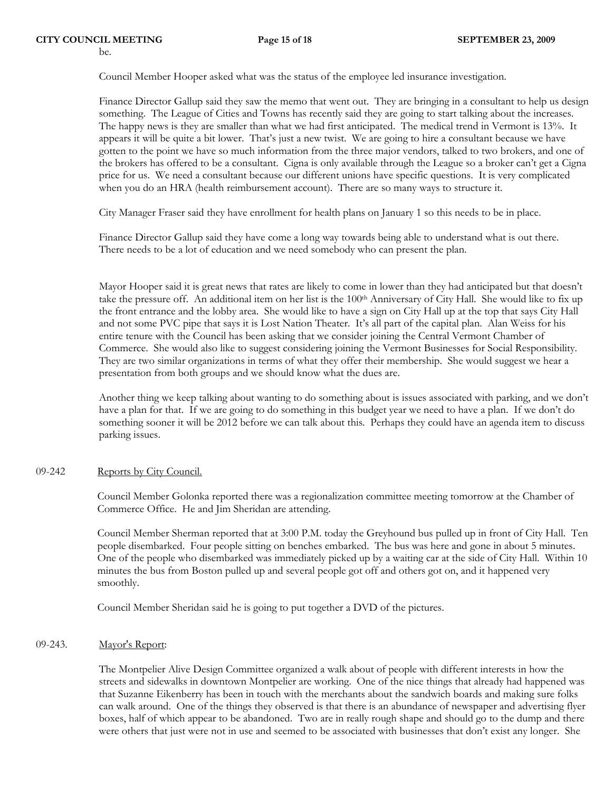Council Member Hooper asked what was the status of the employee led insurance investigation.

Finance Director Gallup said they saw the memo that went out. They are bringing in a consultant to help us design something. The League of Cities and Towns has recently said they are going to start talking about the increases. The happy news is they are smaller than what we had first anticipated. The medical trend in Vermont is 13%. It appears it will be quite a bit lower. That's just a new twist. We are going to hire a consultant because we have gotten to the point we have so much information from the three major vendors, talked to two brokers, and one of the brokers has offered to be a consultant. Cigna is only available through the League so a broker can't get a Cigna price for us. We need a consultant because our different unions have specific questions. It is very complicated when you do an HRA (health reimbursement account). There are so many ways to structure it.

City Manager Fraser said they have enrollment for health plans on January 1 so this needs to be in place.

Finance Director Gallup said they have come a long way towards being able to understand what is out there. There needs to be a lot of education and we need somebody who can present the plan.

Mayor Hooper said it is great news that rates are likely to come in lower than they had anticipated but that doesn't take the pressure off. An additional item on her list is the 100th Anniversary of City Hall. She would like to fix up the front entrance and the lobby area. She would like to have a sign on City Hall up at the top that says City Hall and not some PVC pipe that says it is Lost Nation Theater. It's all part of the capital plan. Alan Weiss for his entire tenure with the Council has been asking that we consider joining the Central Vermont Chamber of Commerce. She would also like to suggest considering joining the Vermont Businesses for Social Responsibility. They are two similar organizations in terms of what they offer their membership. She would suggest we hear a presentation from both groups and we should know what the dues are.

Another thing we keep talking about wanting to do something about is issues associated with parking, and we don't have a plan for that. If we are going to do something in this budget year we need to have a plan. If we don't do something sooner it will be 2012 before we can talk about this. Perhaps they could have an agenda item to discuss parking issues.

## 09-242 Reports by City Council.

Council Member Golonka reported there was a regionalization committee meeting tomorrow at the Chamber of Commerce Office. He and Jim Sheridan are attending.

Council Member Sherman reported that at 3:00 P.M. today the Greyhound bus pulled up in front of City Hall. Ten people disembarked. Four people sitting on benches embarked. The bus was here and gone in about 5 minutes. One of the people who disembarked was immediately picked up by a waiting car at the side of City Hall. Within 10 minutes the bus from Boston pulled up and several people got off and others got on, and it happened very smoothly.

Council Member Sheridan said he is going to put together a DVD of the pictures.

## 09-243. Mayor's Report:

The Montpelier Alive Design Committee organized a walk about of people with different interests in how the streets and sidewalks in downtown Montpelier are working. One of the nice things that already had happened was that Suzanne Eikenberry has been in touch with the merchants about the sandwich boards and making sure folks can walk around. One of the things they observed is that there is an abundance of newspaper and advertising flyer boxes, half of which appear to be abandoned. Two are in really rough shape and should go to the dump and there were others that just were not in use and seemed to be associated with businesses that don't exist any longer. She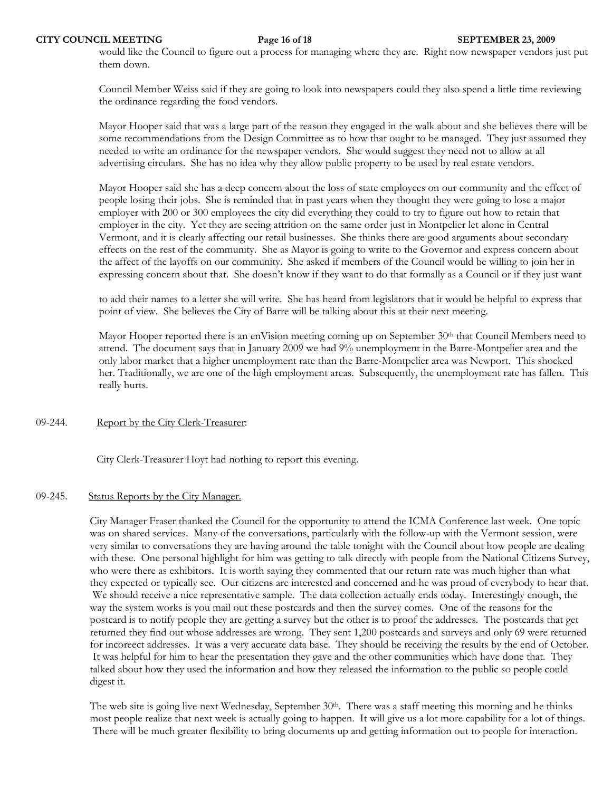would like the Council to figure out a process for managing where they are. Right now newspaper vendors just put them down.

Council Member Weiss said if they are going to look into newspapers could they also spend a little time reviewing the ordinance regarding the food vendors.

Mayor Hooper said that was a large part of the reason they engaged in the walk about and she believes there will be some recommendations from the Design Committee as to how that ought to be managed. They just assumed they needed to write an ordinance for the newspaper vendors. She would suggest they need not to allow at all advertising circulars. She has no idea why they allow public property to be used by real estate vendors.

Mayor Hooper said she has a deep concern about the loss of state employees on our community and the effect of people losing their jobs. She is reminded that in past years when they thought they were going to lose a major employer with 200 or 300 employees the city did everything they could to try to figure out how to retain that employer in the city. Yet they are seeing attrition on the same order just in Montpelier let alone in Central Vermont, and it is clearly affecting our retail businesses. She thinks there are good arguments about secondary effects on the rest of the community. She as Mayor is going to write to the Governor and express concern about the affect of the layoffs on our community. She asked if members of the Council would be willing to join her in expressing concern about that. She doesn't know if they want to do that formally as a Council or if they just want

to add their names to a letter she will write. She has heard from legislators that it would be helpful to express that point of view. She believes the City of Barre will be talking about this at their next meeting.

Mayor Hooper reported there is an enVision meeting coming up on September 30<sup>th</sup> that Council Members need to attend. The document says that in January 2009 we had 9% unemployment in the Barre-Montpelier area and the only labor market that a higher unemployment rate than the Barre-Montpelier area was Newport. This shocked her. Traditionally, we are one of the high employment areas. Subsequently, the unemployment rate has fallen. This really hurts.

## 09-244. Report by the City Clerk-Treasurer:

City Clerk-Treasurer Hoyt had nothing to report this evening.

### 09-245. Status Reports by the City Manager.

City Manager Fraser thanked the Council for the opportunity to attend the ICMA Conference last week. One topic was on shared services. Many of the conversations, particularly with the follow-up with the Vermont session, were very similar to conversations they are having around the table tonight with the Council about how people are dealing with these. One personal highlight for him was getting to talk directly with people from the National Citizens Survey, who were there as exhibitors. It is worth saying they commented that our return rate was much higher than what they expected or typically see. Our citizens are interested and concerned and he was proud of everybody to hear that. We should receive a nice representative sample. The data collection actually ends today. Interestingly enough, the way the system works is you mail out these postcards and then the survey comes. One of the reasons for the postcard is to notify people they are getting a survey but the other is to proof the addresses. The postcards that get returned they find out whose addresses are wrong. They sent 1,200 postcards and surveys and only 69 were returned for incoreect addresses. It was a very accurate data base. They should be receiving the results by the end of October. It was helpful for him to hear the presentation they gave and the other communities which have done that. They talked about how they used the information and how they released the information to the public so people could digest it.

The web site is going live next Wednesday, September  $30<sup>th</sup>$ . There was a staff meeting this morning and he thinks most people realize that next week is actually going to happen. It will give us a lot more capability for a lot of things. There will be much greater flexibility to bring documents up and getting information out to people for interaction.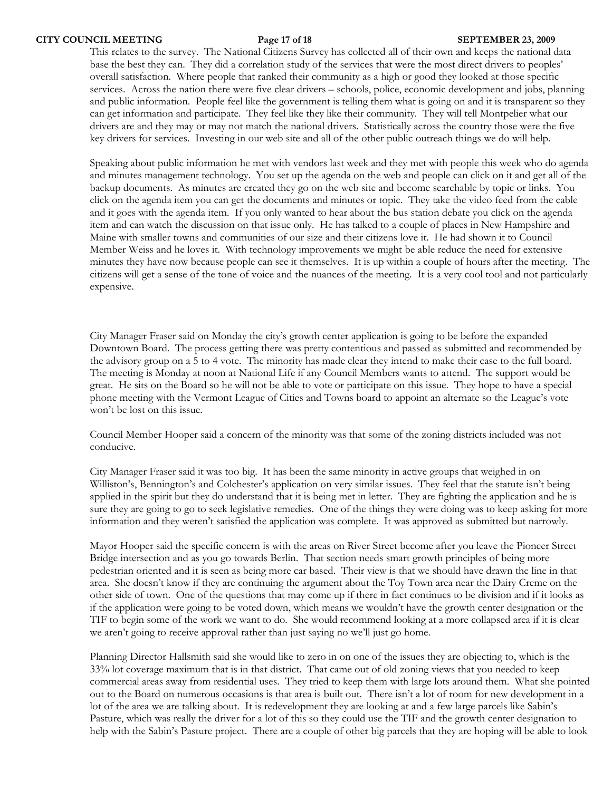This relates to the survey. The National Citizens Survey has collected all of their own and keeps the national data base the best they can. They did a correlation study of the services that were the most direct drivers to peoples' overall satisfaction. Where people that ranked their community as a high or good they looked at those specific services. Across the nation there were five clear drivers – schools, police, economic development and jobs, planning and public information. People feel like the government is telling them what is going on and it is transparent so they can get information and participate. They feel like they like their community. They will tell Montpelier what our drivers are and they may or may not match the national drivers. Statistically across the country those were the five key drivers for services. Investing in our web site and all of the other public outreach things we do will help.

Speaking about public information he met with vendors last week and they met with people this week who do agenda and minutes management technology. You set up the agenda on the web and people can click on it and get all of the backup documents. As minutes are created they go on the web site and become searchable by topic or links. You click on the agenda item you can get the documents and minutes or topic. They take the video feed from the cable and it goes with the agenda item. If you only wanted to hear about the bus station debate you click on the agenda item and can watch the discussion on that issue only. He has talked to a couple of places in New Hampshire and Maine with smaller towns and communities of our size and their citizens love it. He had shown it to Council Member Weiss and he loves it. With technology improvements we might be able reduce the need for extensive minutes they have now because people can see it themselves. It is up within a couple of hours after the meeting. The citizens will get a sense of the tone of voice and the nuances of the meeting. It is a very cool tool and not particularly expensive.

City Manager Fraser said on Monday the city's growth center application is going to be before the expanded Downtown Board. The process getting there was pretty contentious and passed as submitted and recommended by the advisory group on a 5 to 4 vote. The minority has made clear they intend to make their case to the full board. The meeting is Monday at noon at National Life if any Council Members wants to attend. The support would be great. He sits on the Board so he will not be able to vote or participate on this issue. They hope to have a special phone meeting with the Vermont League of Cities and Towns board to appoint an alternate so the League's vote won't be lost on this issue.

Council Member Hooper said a concern of the minority was that some of the zoning districts included was not conducive.

City Manager Fraser said it was too big. It has been the same minority in active groups that weighed in on Williston's, Bennington's and Colchester's application on very similar issues. They feel that the statute isn't being applied in the spirit but they do understand that it is being met in letter. They are fighting the application and he is sure they are going to go to seek legislative remedies. One of the things they were doing was to keep asking for more information and they weren't satisfied the application was complete. It was approved as submitted but narrowly.

Mayor Hooper said the specific concern is with the areas on River Street become after you leave the Pioneer Street Bridge intersection and as you go towards Berlin. That section needs smart growth principles of being more pedestrian oriented and it is seen as being more car based. Their view is that we should have drawn the line in that area. She doesn't know if they are continuing the argument about the Toy Town area near the Dairy Creme on the other side of town. One of the questions that may come up if there in fact continues to be division and if it looks as if the application were going to be voted down, which means we wouldn't have the growth center designation or the TIF to begin some of the work we want to do. She would recommend looking at a more collapsed area if it is clear we aren't going to receive approval rather than just saying no we'll just go home.

Planning Director Hallsmith said she would like to zero in on one of the issues they are objecting to, which is the 33% lot coverage maximum that is in that district. That came out of old zoning views that you needed to keep commercial areas away from residential uses. They tried to keep them with large lots around them. What she pointed out to the Board on numerous occasions is that area is built out. There isn't a lot of room for new development in a lot of the area we are talking about. It is redevelopment they are looking at and a few large parcels like Sabin's Pasture, which was really the driver for a lot of this so they could use the TIF and the growth center designation to help with the Sabin's Pasture project. There are a couple of other big parcels that they are hoping will be able to look